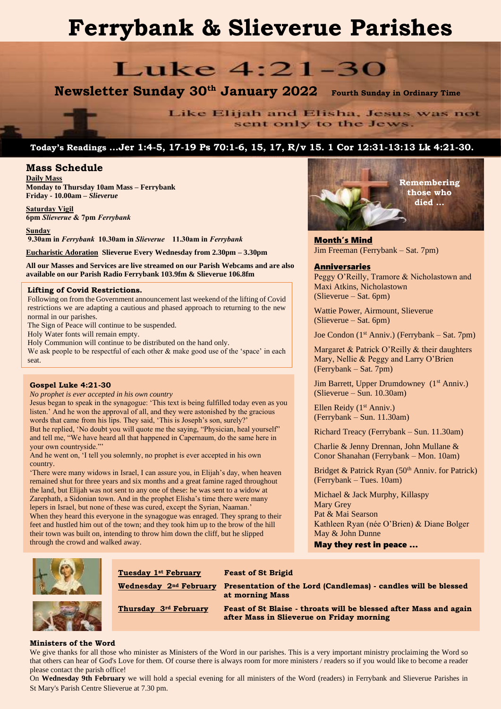# **Ferrybank & Slieverue Parishes**

## Luke 4:21-30

**Newsletter Sunday 30th January 2022 Fourth Sunday in Ordinary Time**

Like Elijah and Elisha, Jesus was not sent only to the Jews.

## **Today's Readings …Jer 1:4-5, 17-19 Ps 70:1-6, 15, 17, R/v 15. 1 Cor 12:31-13:13 Lk 4:21-30.**

#### **Mass Schedule**

**Daily Mass Monday to Thursday 10am Mass – Ferrybank Friday - 10.00am –** *Slieverue*

**Saturday Vigil 6pm** *Slieverue* **& 7pm** *Ferrybank*

**Sunday 9.30am in** *Ferrybank* **10.30am in** *Slieverue* **11.30am in** *Ferrybank*

**Eucharistic Adoration Slieverue Every Wednesday from 2.30pm – 3.30pm**

**All our Masses and Services are live streamed on our Parish Webcams and are also available on our Parish Radio Ferrybank 103.9fm & Slieverue 106.8fm**

#### **Lifting of Covid Restrictions.**

Following on from the Government announcement last weekend of the lifting of Covid restrictions we are adapting a cautious and phased approach to returning to the new normal in our parishes.

The Sign of Peace will continue to be suspended.

Holy Water fonts will remain empty.

Holy Communion will continue to be distributed on the hand only. We ask people to be respectful of each other & make good use of the 'space' in each seat.

#### **Gospel Luke 4:21-30**

*No prophet is ever accepted in his own country*

Jesus began to speak in the synagogue: 'This text is being fulfilled today even as you listen.' And he won the approval of all, and they were astonished by the gracious words that came from his lips. They said, 'This is Joseph's son, surely?' But he replied, 'No doubt you will quote me the saying, "Physician, heal yourself" and tell me, "We have heard all that happened in Capernaum, do the same here in your own countryside."'

And he went on, 'I tell you solemnly, no prophet is ever accepted in his own country.

'There were many widows in Israel, I can assure you, in Elijah's day, when heaven remained shut for three years and six months and a great famine raged throughout the land, but Elijah was not sent to any one of these: he was sent to a widow at Zarephath, a Sidonian town. And in the prophet Elisha's time there were many lepers in Israel, but none of these was cured, except the Syrian, Naaman.' When they heard this everyone in the synagogue was enraged. They sprang to their feet and hustled him out of the town; and they took him up to the brow of the hill their town was built on, intending to throw him down the cliff, but he slipped through the crowd and walked away.



Month's Mind Jim Freeman (Ferrybank – Sat. 7pm)

#### Anniversaries

Peggy O'Reilly, Tramore & Nicholastown and Maxi Atkins, Nicholastown (Slieverue – Sat. 6pm)

Wattie Power, Airmount, Slieverue (Slieverue – Sat. 6pm)

Joe Condon (1st Anniv.) (Ferrybank – Sat. 7pm)

Margaret & Patrick O'Reilly & their daughters Mary, Nellie & Peggy and Larry O'Brien (Ferrybank – Sat. 7pm)

Jim Barrett, Upper Drumdowney (1<sup>st</sup> Anniv.) (Slieverue – Sun. 10.30am)

Ellen Reidy (1<sup>st</sup> Anniv.) (Ferrybank – Sun. 11.30am)

Richard Treacy (Ferrybank – Sun. 11.30am)

Charlie & Jenny Drennan, John Mullane & Conor Shanahan (Ferrybank – Mon. 10am)

Bridget & Patrick Ryan  $(50<sup>th</sup> Anniv.$  for Patrick) (Ferrybank – Tues. 10am)

Michael & Jack Murphy, Killaspy Mary Grey Pat & Mai Searson Kathleen Ryan (née O'Brien) & Diane Bolger May & John Dunne

May they rest in peace …



### **Tuesday 1st February Feast of St Brigid**

**Wednesday 2nd February Presentation of the Lord (Candlemas) - candles will be blessed at morning Mass**

**Thursday 3rd February Feast of St Blaise - throats will be blessed after Mass and again after Mass in Slieverue on Friday morning**

#### **Ministers of the Word**

We give thanks for all those who minister as Ministers of the Word in our parishes. This is a very important ministry proclaiming the Word so that others can hear of God's Love for them. Of course there is always room for more ministers / readers so if you would like to become a reader please contact the parish office!

On **Wednesday 9th February** we will hold a special evening for all ministers of the Word (readers) in Ferrybank and Slieverue Parishes in St Mary's Parish Centre Slieverue at 7.30 pm.